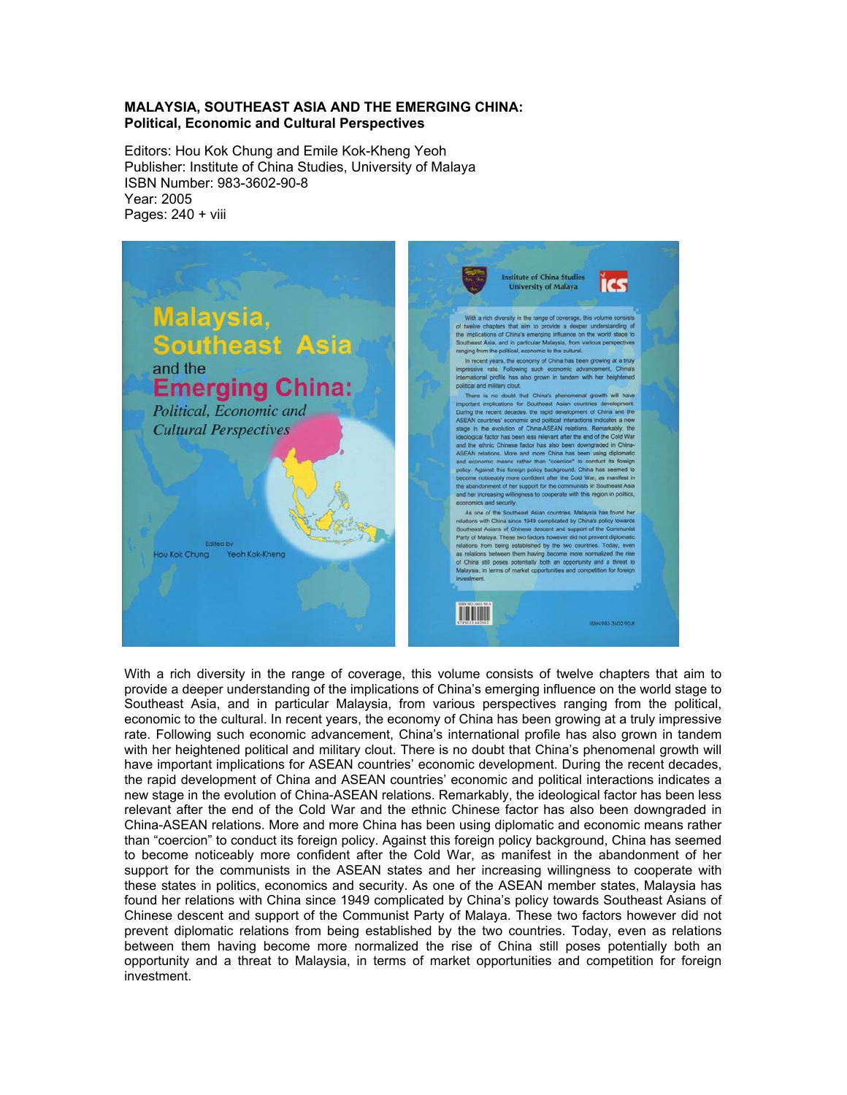#### **MALAYSIA, SOUTHEAST ASIA AND THE EMERGING CHINA: Political, Economic and Cultural Perspectives**

Editors: Hou Kok Chung and Emile Kok-Kheng Yeoh Publisher: Institute of China Studies, University of Malaya ISBN Number: 983-3602-90-8 Year: 2005 Pages: 240 + viii



With a rich diversity in the range of coverage, this volume consists of twelve chapters that aim to provide a deeper understanding of the implications of China's emerging influence on the world stage to Southeast Asia, and in particular Malaysia, from various perspectives ranging from the political, economic to the cultural. In recent years, the economy of China has been growing at a truly impressive rate. Following such economic advancement, China's international profile has also grown in tandem with her heightened political and military clout. There is no doubt that China's phenomenal growth will have important implications for ASEAN countries' economic development. During the recent decades, the rapid development of China and ASEAN countries' economic and political interactions indicates a new stage in the evolution of China-ASEAN relations. Remarkably, the ideological factor has been less relevant after the end of the Cold War and the ethnic Chinese factor has also been downgraded in China-ASEAN relations. More and more China has been using diplomatic and economic means rather than "coercion" to conduct its foreign policy. Against this foreign policy background, China has seemed to become noticeably more confident after the Cold War, as manifest in the abandonment of her support for the communists in the ASEAN states and her increasing willingness to cooperate with these states in politics, economics and security. As one of the ASEAN member states, Malaysia has found her relations with China since 1949 complicated by China's policy towards Southeast Asians of Chinese descent and support of the Communist Party of Malaya. These two factors however did not prevent diplomatic relations from being established by the two countries. Today, even as relations between them having become more normalized the rise of China still poses potentially both an opportunity and a threat to Malaysia, in terms of market opportunities and competition for foreign investment.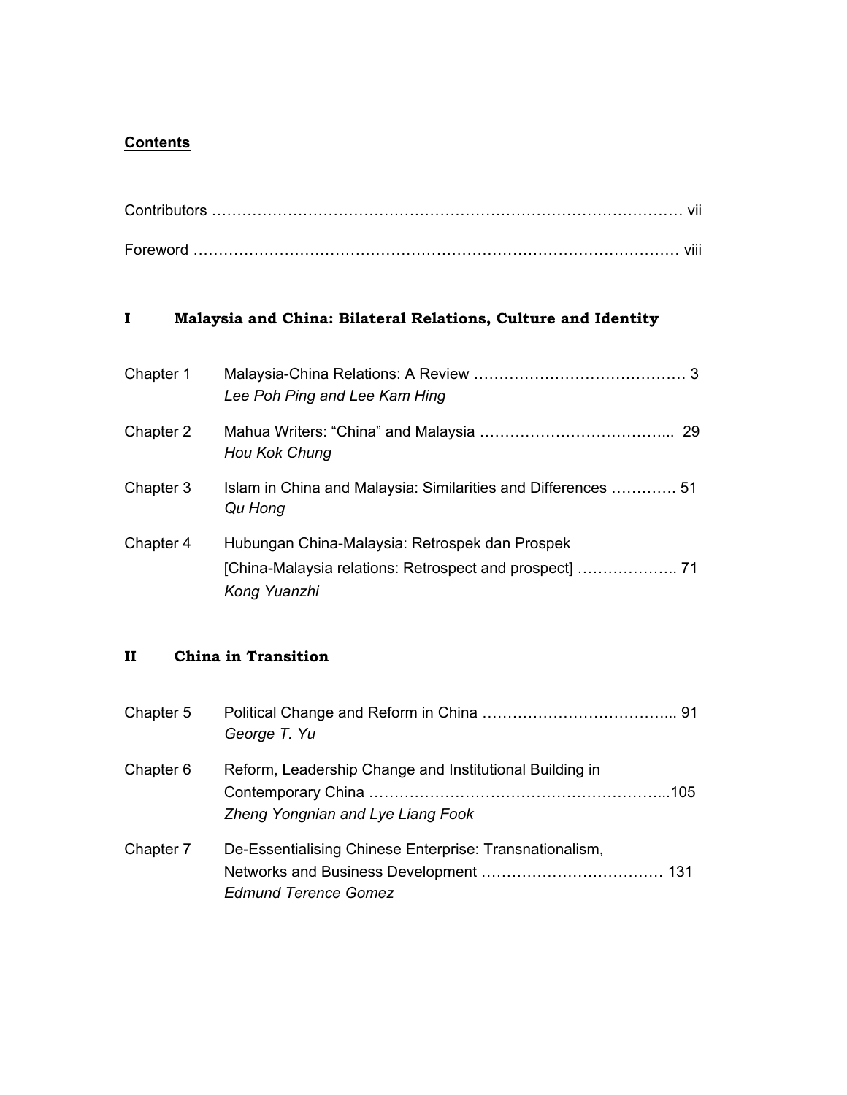# **Contents**

| Foreword |  |
|----------|--|

### **I Malaysia and China: Bilateral Relations, Culture and Identity**

| Chapter 1 | Lee Poh Ping and Lee Kam Hing                                            |
|-----------|--------------------------------------------------------------------------|
| Chapter 2 | Hou Kok Chung                                                            |
| Chapter 3 | Islam in China and Malaysia: Similarities and Differences  51<br>Qu Hong |
| Chapter 4 | Hubungan China-Malaysia: Retrospek dan Prospek<br>Kong Yuanzhi           |

## **II China in Transition**

| Chapter 5 | George T. Yu                                                                                 |  |
|-----------|----------------------------------------------------------------------------------------------|--|
| Chapter 6 | Reform, Leadership Change and Institutional Building in<br>Zheng Yongnian and Lye Liang Fook |  |
| Chapter 7 | De-Essentialising Chinese Enterprise: Transnationalism,<br><b>Edmund Terence Gomez</b>       |  |